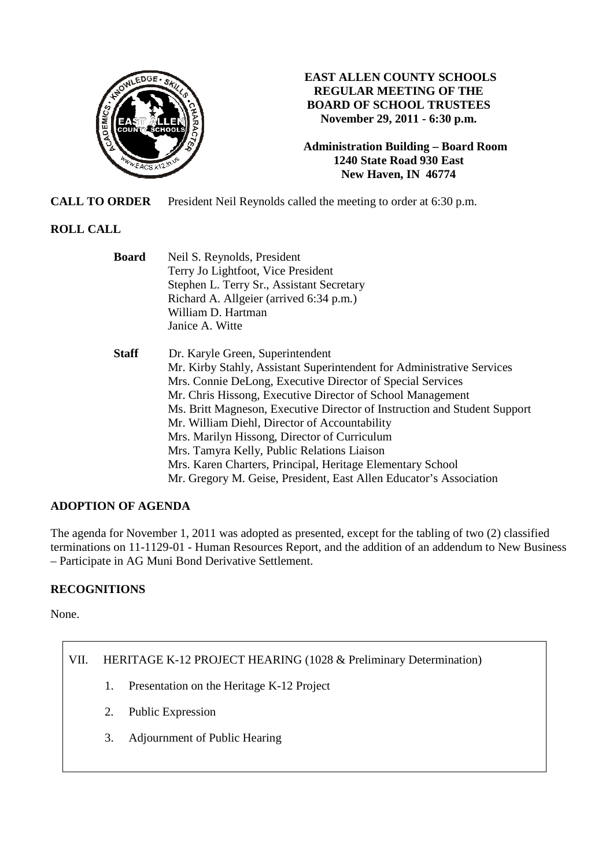

# **EAST ALLEN COUNTY SCHOOLS REGULAR MEETING OF THE BOARD OF SCHOOL TRUSTEES November 29, 2011 - 6:30 p.m.**

**Administration Building – Board Room 1240 State Road 930 East New Haven, IN 46774**

**CALL TO ORDER** President Neil Reynolds called the meeting to order at 6:30 p.m.

# **ROLL CALL**

| <b>Board</b> | Neil S. Reynolds, President                                               |  |  |  |
|--------------|---------------------------------------------------------------------------|--|--|--|
|              | Terry Jo Lightfoot, Vice President                                        |  |  |  |
|              | Stephen L. Terry Sr., Assistant Secretary                                 |  |  |  |
|              | Richard A. Allgeier (arrived 6:34 p.m.)                                   |  |  |  |
|              | William D. Hartman                                                        |  |  |  |
|              | Janice A. Witte                                                           |  |  |  |
| <b>Staff</b> | Dr. Karyle Green, Superintendent                                          |  |  |  |
|              | Mr. Kirby Stahly, Assistant Superintendent for Administrative Services    |  |  |  |
|              | Mrs. Connie DeLong, Executive Director of Special Services                |  |  |  |
|              | Mr. Chris Hissong, Executive Director of School Management                |  |  |  |
|              | Ms. Britt Magneson, Executive Director of Instruction and Student Support |  |  |  |
|              | Mr. William Diehl, Director of Accountability                             |  |  |  |
|              | Mrs. Marilyn Hissong, Director of Curriculum                              |  |  |  |
|              | Mrs. Tamyra Kelly, Public Relations Liaison                               |  |  |  |
|              | Mrs. Karen Charters, Principal, Heritage Elementary School                |  |  |  |
|              | Mr. Gregory M. Geise, President, East Allen Educator's Association        |  |  |  |

# **ADOPTION OF AGENDA**

The agenda for November 1, 2011 was adopted as presented, except for the tabling of two (2) classified terminations on 11-1129-01 - Human Resources Report, and the addition of an addendum to New Business – Participate in AG Muni Bond Derivative Settlement.

# **RECOGNITIONS**

None.

# VII. HERITAGE K-12 PROJECT HEARING (1028 & Preliminary Determination)

- 1. Presentation on the Heritage K-12 Project
- 2. Public Expression
- 3. Adjournment of Public Hearing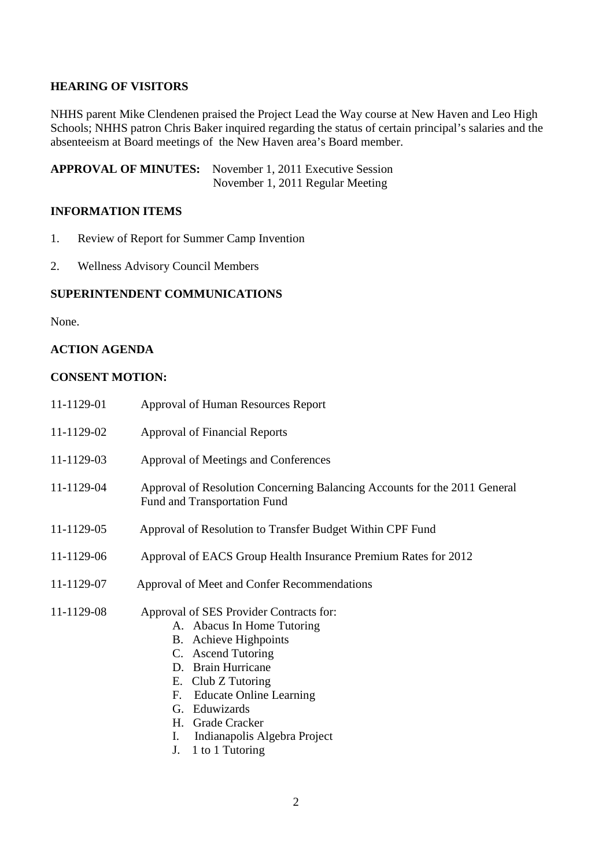## **HEARING OF VISITORS**

NHHS parent Mike Clendenen praised the Project Lead the Way course at New Haven and Leo High Schools; NHHS patron Chris Baker inquired regarding the status of certain principal's salaries and the absenteeism at Board meetings of the New Haven area's Board member.

**APPROVAL OF MINUTES:** November 1, 2011 Executive Session November 1, 2011 Regular Meeting

#### **INFORMATION ITEMS**

- 1. Review of Report for Summer Camp Invention
- 2. Wellness Advisory Council Members

#### **SUPERINTENDENT COMMUNICATIONS**

None.

#### **ACTION AGENDA**

### **CONSENT MOTION:**

| 11-1129-01 | <b>Approval of Human Resources Report</b>                                                                                                                                                                                                                                                     |  |  |
|------------|-----------------------------------------------------------------------------------------------------------------------------------------------------------------------------------------------------------------------------------------------------------------------------------------------|--|--|
| 11-1129-02 | <b>Approval of Financial Reports</b>                                                                                                                                                                                                                                                          |  |  |
| 11-1129-03 | Approval of Meetings and Conferences                                                                                                                                                                                                                                                          |  |  |
| 11-1129-04 | Approval of Resolution Concerning Balancing Accounts for the 2011 General<br>Fund and Transportation Fund                                                                                                                                                                                     |  |  |
| 11-1129-05 | Approval of Resolution to Transfer Budget Within CPF Fund                                                                                                                                                                                                                                     |  |  |
| 11-1129-06 | Approval of EACS Group Health Insurance Premium Rates for 2012                                                                                                                                                                                                                                |  |  |
| 11-1129-07 | Approval of Meet and Confer Recommendations                                                                                                                                                                                                                                                   |  |  |
| 11-1129-08 | Approval of SES Provider Contracts for:<br>A. Abacus In Home Tutoring<br><b>B.</b> Achieve Highpoints<br>C. Ascend Tutoring<br>D. Brain Hurricane<br>E. Club Z Tutoring<br><b>Educate Online Learning</b><br>F.<br>Eduwizards<br>G.<br>H. Grade Cracker<br>I.<br>Indianapolis Algebra Project |  |  |

J. 1 to 1 Tutoring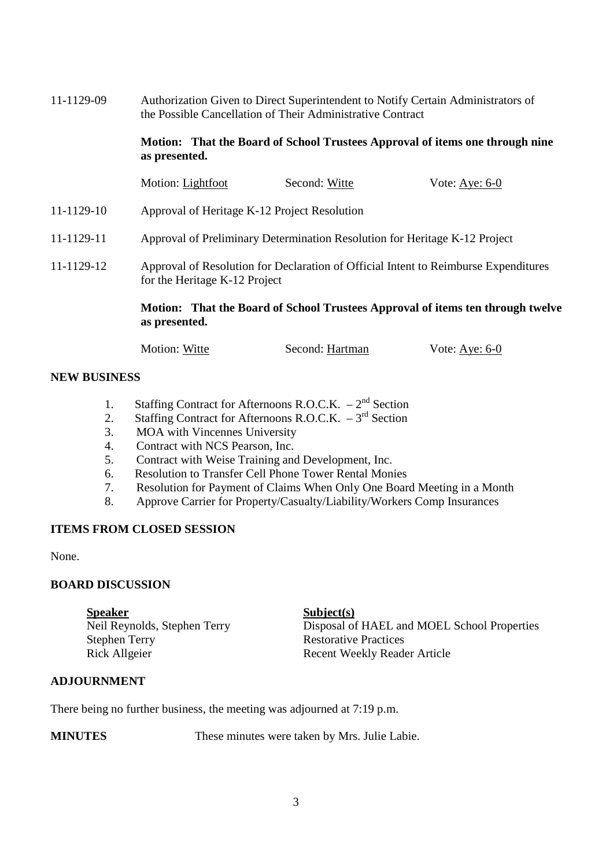| 11-1129-09 | Authorization Given to Direct Superintendent to Notify Certain Administrators of<br>the Possible Cancellation of Their Administrative Contract<br>Motion: That the Board of School Trustees Approval of items one through nine<br>as presented. |               |                                                                                |  |  |
|------------|-------------------------------------------------------------------------------------------------------------------------------------------------------------------------------------------------------------------------------------------------|---------------|--------------------------------------------------------------------------------|--|--|
|            |                                                                                                                                                                                                                                                 |               |                                                                                |  |  |
|            | Motion: Lightfoot                                                                                                                                                                                                                               | Second: Witte | Vote: $Aye: 6-0$                                                               |  |  |
| 11-1129-10 | Approval of Heritage K-12 Project Resolution                                                                                                                                                                                                    |               |                                                                                |  |  |
| 11-1129-11 | Approval of Preliminary Determination Resolution for Heritage K-12 Project                                                                                                                                                                      |               |                                                                                |  |  |
| 11-1129-12 | Approval of Resolution for Declaration of Official Intent to Reimburse Expenditures<br>for the Heritage K-12 Project                                                                                                                            |               |                                                                                |  |  |
|            |                                                                                                                                                                                                                                                 |               | Motion: That the Board of School Trustees Approval of items ten through twelve |  |  |

Motion: Witte Second: Hartman Vote: Aye: 6-0

## **NEW BUSINESS**

- 1. Staffing Contract for Afternoons R.O.C.K.  $-2^{nd}$  Section
- 2. Staffing Contract for Afternoons R.O.C.K.  $-3^{rd}$  Section
- 3. MOA with Vincennes University
- 4. Contract with NCS Pearson, Inc.

**as presented.** 

- 5. Contract with Weise Training and Development, Inc.
- 6. Resolution to Transfer Cell Phone Tower Rental Monies
- 7. Resolution for Payment of Claims When Only One Board Meeting in a Month
- 8. Approve Carrier for Property/Casualty/Liability/Workers Comp Insurances

### **ITEMS FROM CLOSED SESSION**

None.

### **BOARD DISCUSSION**

Speaker<br>
Neil Reynolds, Stephen Terry<br>
Disposal of Disposal of HAEL and MOEL School Properties Stephen Terry Restorative Practices Rick Allgeier Recent Weekly Reader Article

## **ADJOURNMENT**

There being no further business, the meeting was adjourned at 7:19 p.m.

**MINUTES** These minutes were taken by Mrs. Julie Labie.